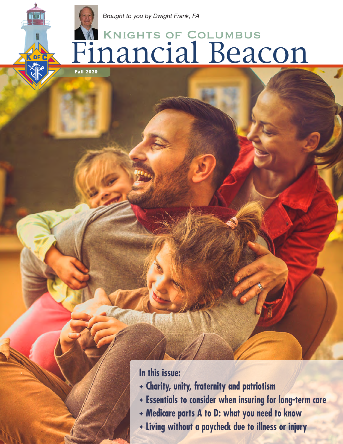# Knights of Columbus Financial Beacon

**Fall 2020**

### **In this issue:**

- ✦ **Charity, unity, fraternity and patriotism**
- ✦ **Essentials to consider when insuring for long-term care**
- ✦ **Medicare parts A to D: what you need to know**
- ✦ **Living without a paycheck due to illness or injury**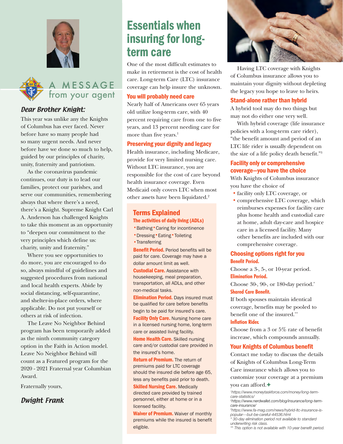



#### Dear Brother Knight:

This year was unlike any the Knights of Columbus has ever faced. Never before have so many people had so many urgent needs. And never before have we done so much to help, guided by our principles of charity, unity, fraternity and patriotism.

As the coronavirus pandemic continues, our duty is to lead our families, protect our parishes, and serve our communities, remembering always that where there's a need, there's a Knight. Supreme Knight Carl A. Anderson has challenged Knights to take this moment as an opportunity to "deepen our commitment to the very principles which define us: charity, unity and fraternity."

Where you see opportunities to do more, you are encouraged to do so, always mindful of guidelines and suggested procedures from national and local health experts. Abide by social distancing, self-quarantine, and shelter-in-place orders, where applicable. Do not put yourself or others at risk of infection.

The Leave No Neighbor Behind program has been temporarily added as the ninth community category option in the Faith in Action model. Leave No Neighbor Behind will count as a Featured program for the 2020 - 2021 Fraternal year Columbian Award.

Fraternally yours,

#### Dwight Frank

# Essentials when insuring for longterm care

One of the most difficult estimates to make in retirement is the cost of health care. Long-term Care (LTC) insurance coverage can help insure the unknown.

#### You will probably need care

Nearly half of Americans over 65 years old utilize long-term care, with 40 percent requiring care from one to five years, and 13 percent needing care for more than five years.<sup>1</sup>

#### Preserving your dignity and legacy

Health insurance, including Medicare, provide for very limited nursing care. Without LTC insurance, you are responsible for the cost of care beyond health insurance coverage. Even Medicaid only covers LTC when most other assets have been liquidated.2

#### Terms Explained The activities of daily living (ADLs)

- •Bathing•Caring for incontinence
- •Dressing•Eating•Toileting
- Transferring

Benefit Period. Period benefits will be paid for care. Coverage may have a dollar amount limit as well.

**Custodial Care.** Assistance with housekeeping, meal preparation, transportation, all ADLs, and other non-medical tasks.

**Elimination Period.** Days insured must be qualified for care before benefits begin to be paid for insured's care. **Facility Only Care.** Nursing home care in a licensed nursing home, long-term care or assisted living facility.

Home Health Care. Skilled nursing care and/or custodial care provided in the insured's home.

Return of Premium. The return of premiums paid for LTC coverage should the insured die before age 65,

less any benefits paid prior to death. **Skilled Nursing Care. Medically** directed care provided by trained personnel, either at home or in a licensed facility.

Waiver of Premium. Waiver of monthly premiums while the insured is benefit eligible.



Having LTC coverage with Knights of Columbus insurance allows you to maintain your dignity without depleting the legacy you hope to leave to heirs.

#### Stand-alone rather than hybrid

A hybrid tool may do two things but may not do either one very well.

With hybrid coverage (life insurance policies with a long-term care rider), "the benefit amount and period of an LTC life rider is usually dependent on the size of a life policy death benefit."3

#### Facility only or comprehensive coverage—you have the choice

With Knights of Columbus insurance you have the choice of

- **•** facility only LTC coverage, or
- **•** comprehensive LTC coverage, which reimburses expenses for facility care plus home health and custodial care at home, adult day-care and hospice care in a licensed facility. Many other benefits are included with our comprehensive coverage.

#### Choosing options right for you **Benefit Period.**

Choose a 3-, 5-, or 10-year period. **Elimination Period.**

Choose 30-, 90-, or 180-day period.\* **Shared Care Benefit.**

If both spouses maintain identical coverage, benefits may be pooled to benefit one of the insured.\*\* **Inflation Rider.**

Choose from a 3 or 5% rate of benefit increase, which compounds annually.

#### Your Knights of Columbus benefit

Contact me today to discuss the details of Knights of Columbus Long-Term Care insurance which allows you to customize your coverage at a premium you can afford.✦

*1 https://www.moneytaskforce.com/money/long-termcare-statistics/*

*2 https://www.nerdwallet.com/blog/insurance/long-termcare-insurance/*

*3 https://www.fa-mag.com/news/hybrid-ltc-insurance-ispopular---but-be-careful-44536.html*

*\* 30-day elimination period not available to standard underwriting risk class.*

*\*\* This option is not available with 10-year benefit period.*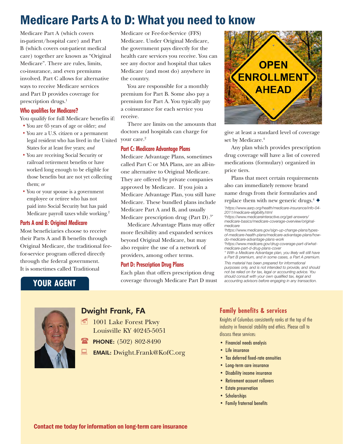# Medicare Parts A to D: What you need to know

Medicare Part A (which covers in-patient/hospital care) and Part B (which covers out-patient medical care) together are known as "Original Medicare". There are rules, limits, co-insurance, and even premiums involved. Part C allows for alternative ways to receive Medicare services and Part D provides coverage for prescription drugs.<sup>1</sup>

#### **Who qualifies for Medicare?**

You qualify for full Medicare benefits if: **•** You are 65 years of age or older; *and*

- **•** You are a U.S. citizen or a permanent legal resident who has lived in the United States for at least five years; *and*
- **•** You are receiving Social Security or railroad retirement benefits or have worked long enough to be eligible for those benefits but are not yet collecting them; *or*
- **•** You or your spouse is a government employee or retiree who has not paid into Social Security but has paid Medicare payroll taxes while working.2

#### **Parts A and B: Original Medicare**

Most beneficiaries choose to receive their Parts A and B benefits through Original Medicare, the traditional feefor-service program offered directly through the federal government. It is sometimes called Traditional

Medicare or Fee-for-Service (FFS) Medicare. Under Original Medicare, the government pays directly for the health care services you receive. You can see any doctor and hospital that takes Medicare (and most do) anywhere in the country.

You are responsible for a monthly premium for Part B. Some also pay a premium for Part A. You typically pay a coinsurance for each service you receive.

There are limits on the amounts that doctors and hospitals can charge for your care.<sup>2</sup>

#### **Part C: Medicare Advantage Plans**

Medicare Advantage Plans, sometimes called Part C or MA Plans, are an all-inone alternative to Original Medicare. They are offered by private companies approved by Medicare. If you join a Medicare Advantage Plan, you still have Medicare. These bundled plans include Medicare Part A and B, and usually Medicare prescription drug (Part D).<sup>3\*</sup>

Medicare Advantage Plans may offer more flexibility and expanded services beyond Original Medicare, but may also require the use of a network of providers, among other terms.

#### **Part D: Prescription Drug Plans**

Each plan that offers prescription drug coverage through Medicare Part D must



give at least a standard level of coverage set by Medicare.<sup>4</sup>

Any plan which provides prescription drug coverage will have a list of covered medications (formulary) organized in price tiers.

Plans that meet certain requirements also can immediately remove brand name drugs from their formularies and replace them with new generic drugs.<sup>4</sup>  $\triangleleft$ 

*1 https://www.aarp.org/health/medicare-insurance/info-04- 2011/medicare-eligibility.html*

*3 https://www.medicare.gov/sign-up-change-plans/typesof-medicare-health-plans/medicare-advantage-plans/howdo-medicare-advantage-plans-work*

*4 https://www.medicare.gov/drug-coverage-part-d/whatmedicare-part-d-drug-plans-cover*

*\* With a Medicare Advantage plan, you likely will still have a Part B premium, and in some cases, a Part A premium.*

*This material has been prepared for informational purposes only, and is not intended to provide, and should not be relied on for tax, legal or accounting advice. You should consult with your own qualified tax, legal and accounting advisors before engaging in any transaction.*

### **YOUR AGENT**



### Dwight Frank, FA

- $\equiv$  1001 Lake Forest Pkwy Louisville KY 40245-5051
- PHONE: (502) 802-8490

EMAIL: Dwight.Frank@KofC.org

#### **Family benefits & services**

Knights of Columbus consistently ranks at the top of the industry in financial stability and ethics. Please call to discuss these services:

- Financial needs analysis
- Life insurance
- Tax deferred fixed-rate annuities
- Long-term care insurance
- Disability income insurance
- Retirement account rollovers
- Estate preservation
- Scholarships
- Family fraternal benefits

*<sup>2</sup> https://www.medicareinteractive.org/get-answers/ medicare-basics/medicare-coverage-overview/originalmedicare*